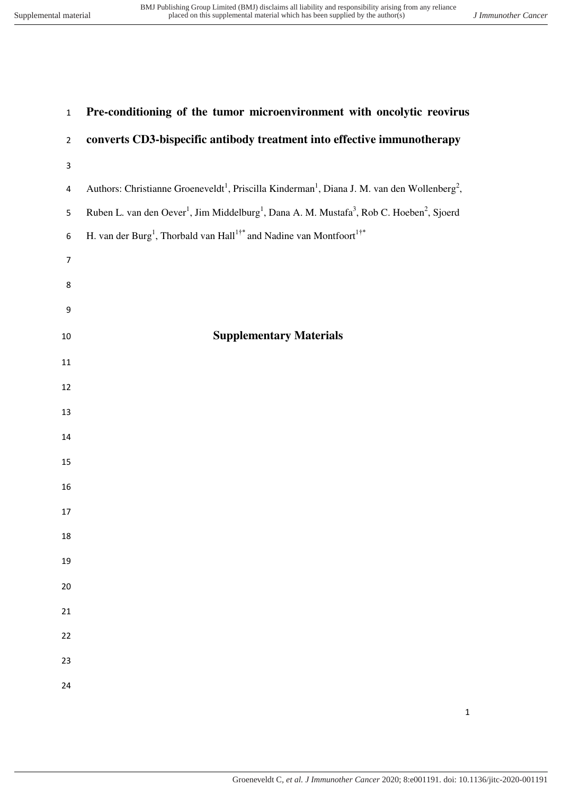| $\mathbf 1$      | Pre-conditioning of the tumor microenvironment with oncolytic reovirus                                                                    |
|------------------|-------------------------------------------------------------------------------------------------------------------------------------------|
| $\overline{2}$   | converts CD3-bispecific antibody treatment into effective immunotherapy                                                                   |
| 3                |                                                                                                                                           |
| 4                | Authors: Christianne Groeneveldt <sup>1</sup> , Priscilla Kinderman <sup>1</sup> , Diana J. M. van den Wollenberg <sup>2</sup> ,          |
| 5                | Ruben L. van den Oever <sup>1</sup> , Jim Middelburg <sup>1</sup> , Dana A. M. Mustafa <sup>3</sup> , Rob C. Hoeben <sup>2</sup> , Sjoerd |
| $\boldsymbol{6}$ | H. van der Burg <sup>1</sup> , Thorbald van Hall <sup>1†*</sup> and Nadine van Montfoort <sup>1†*</sup>                                   |
| $\overline{7}$   |                                                                                                                                           |
| 8                |                                                                                                                                           |
| $\boldsymbol{9}$ |                                                                                                                                           |
| $10\,$           | <b>Supplementary Materials</b>                                                                                                            |
| 11               |                                                                                                                                           |
| 12               |                                                                                                                                           |
| 13               |                                                                                                                                           |
| 14               |                                                                                                                                           |
| 15               |                                                                                                                                           |
| 16               |                                                                                                                                           |
| 17               |                                                                                                                                           |
| 18               |                                                                                                                                           |
| 19               |                                                                                                                                           |
| 20               |                                                                                                                                           |
| 21               |                                                                                                                                           |
| 22               |                                                                                                                                           |
| 23               |                                                                                                                                           |
| 24               |                                                                                                                                           |
|                  |                                                                                                                                           |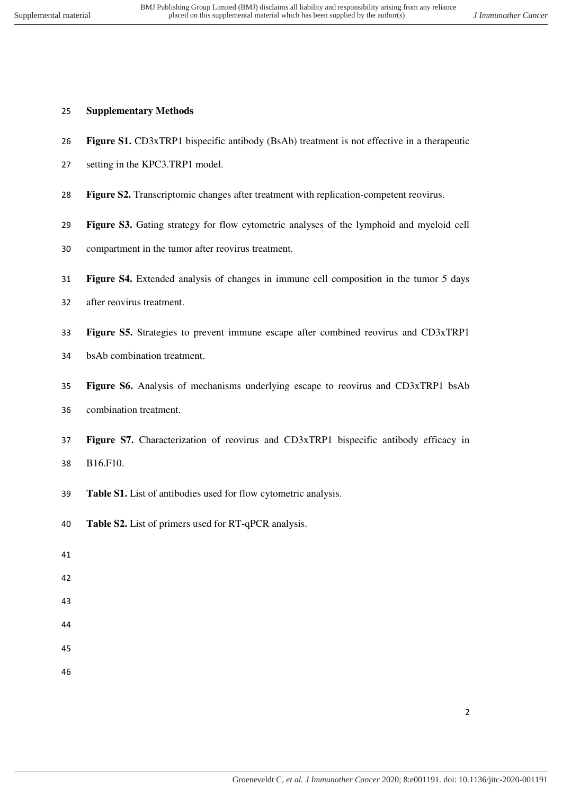## **Supplementary Methods**

- **Figure S1.** CD3xTRP1 bispecific antibody (BsAb) treatment is not effective in a therapeutic
- setting in the KPC3.TRP1 model.
- **Figure S2.** Transcriptomic changes after treatment with replication-competent reovirus.
- **Figure S3.** Gating strategy for flow cytometric analyses of the lymphoid and myeloid cell
- compartment in the tumor after reovirus treatment.
- **Figure S4.** Extended analysis of changes in immune cell composition in the tumor 5 days
- after reovirus treatment.
- **Figure S5.** Strategies to prevent immune escape after combined reovirus and CD3xTRP1
- bsAb combination treatment.
- **Figure S6.** Analysis of mechanisms underlying escape to reovirus and CD3xTRP1 bsAb combination treatment.
- **Figure S7.** Characterization of reovirus and CD3xTRP1 bispecific antibody efficacy in B16.F10.
- **Table S1.** List of antibodies used for flow cytometric analysis.
- **Table S2.** List of primers used for RT-qPCR analysis.
- 
- 
- 
-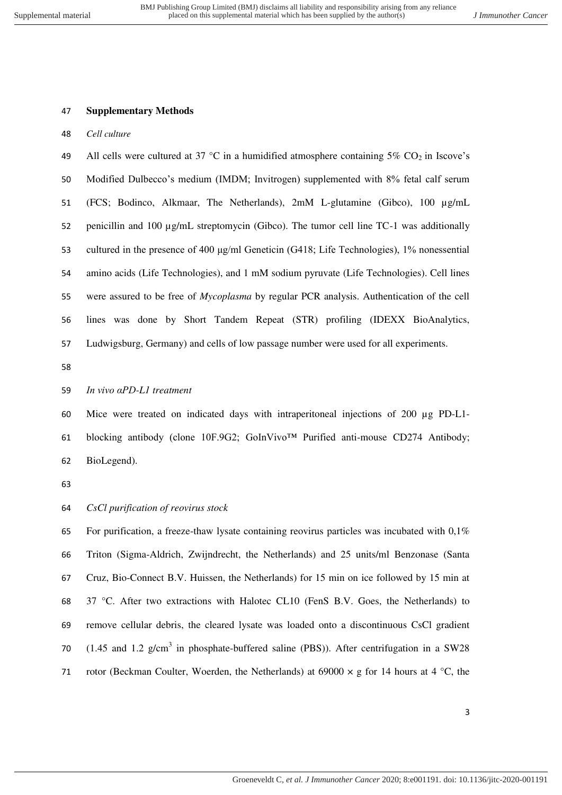#### **Supplementary Methods**

*Cell culture* 

49 All cells were cultured at 37 °C in a humidified atmosphere containing 5%  $CO_2$  in Iscove's Modified Dulbecco's medium (IMDM; Invitrogen) supplemented with 8% fetal calf serum (FCS; Bodinco, Alkmaar, The Netherlands), 2mM L-glutamine (Gibco), 100 µg/mL 52 penicillin and 100  $\mu$ g/mL streptomycin (Gibco). The tumor cell line TC-1 was additionally 53 cultured in the presence of 400  $\mu$ g/ml Geneticin (G418; Life Technologies), 1% nonessential amino acids (Life Technologies), and 1 mM sodium pyruvate (Life Technologies). Cell lines were assured to be free of *Mycoplasma* by regular PCR analysis. Authentication of the cell lines was done by Short Tandem Repeat (STR) profiling (IDEXX BioAnalytics, Ludwigsburg, Germany) and cells of low passage number were used for all experiments.

## *In vivo αPD-L1 treatment*

# Mice were treated on indicated days with intraperitoneal injections of 200 µg PD-L1- blocking antibody (clone 10F.9G2; GoInVivo™ Purified anti-mouse CD274 Antibody; BioLegend).

## *CsCl purification of reovirus stock*

 For purification, a freeze-thaw lysate containing reovirus particles was incubated with 0,1% Triton (Sigma-Aldrich, Zwijndrecht, the Netherlands) and 25 units/ml Benzonase (Santa Cruz, Bio-Connect B.V. Huissen, the Netherlands) for 15 min on ice followed by 15 min at 68 37 °C. After two extractions with Halotec CL10 (FenS B.V. Goes, the Netherlands) to remove cellular debris, the cleared lysate was loaded onto a discontinuous CsCl gradient 70 (1.45 and 1.2  $g/cm<sup>3</sup>$  in phosphate-buffered saline (PBS)). After centrifugation in a SW28 71 rotor (Beckman Coulter, Woerden, the Netherlands) at 69000  $\times$  g for 14 hours at 4 °C, the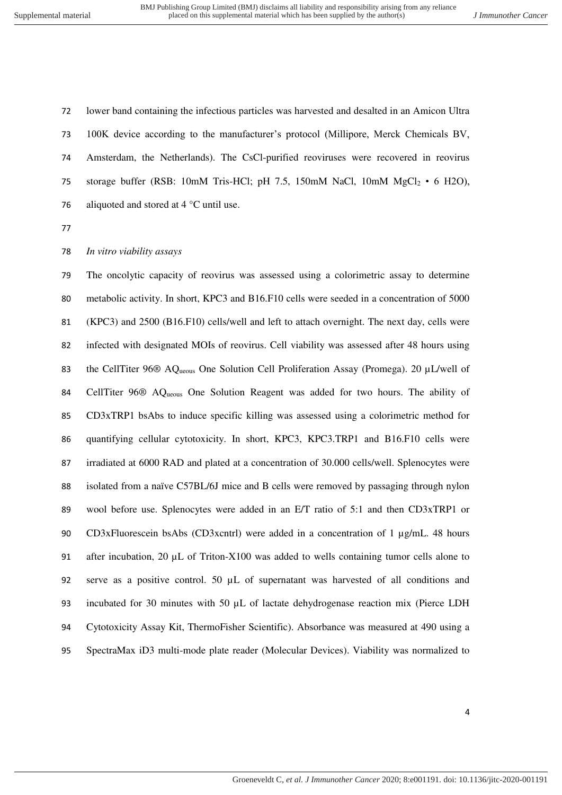lower band containing the infectious particles was harvested and desalted in an Amicon Ultra 100K device according to the manufacturer's protocol (Millipore, Merck Chemicals BV, Amsterdam, the Netherlands). The CsCl-purified reoviruses were recovered in reovirus 75 storage buffer (RSB: 10mM Tris-HCl; pH 7.5, 150mM NaCl, 10mM  $MgCl_2 \cdot 6$  H2O), 76 aliquoted and stored at  $4^{\circ}$ C until use.

## *In vitro viability assays*

 The oncolytic capacity of reovirus was assessed using a colorimetric assay to determine metabolic activity. In short, KPC3 and B16.F10 cells were seeded in a concentration of 5000 (KPC3) and 2500 (B16.F10) cells/well and left to attach overnight. The next day, cells were infected with designated MOIs of reovirus. Cell viability was assessed after 48 hours using 83 the CellTiter 96<sup>®</sup> AQ<sub>ueous</sub> One Solution Cell Proliferation Assay (Promega). 20 µL/well of CellTiter 96® AQueous One Solution Reagent was added for two hours. The ability of CD3xTRP1 bsAbs to induce specific killing was assessed using a colorimetric method for quantifying cellular cytotoxicity. In short, KPC3, KPC3.TRP1 and B16.F10 cells were irradiated at 6000 RAD and plated at a concentration of 30.000 cells/well. Splenocytes were isolated from a naïve C57BL/6J mice and B cells were removed by passaging through nylon wool before use. Splenocytes were added in an E/T ratio of 5:1 and then CD3xTRP1 or 90 CD3xFluorescein bsAbs (CD3xcntrl) were added in a concentration of 1 µg/mL. 48 hours 91 after incubation, 20 µL of Triton-X100 was added to wells containing tumor cells alone to serve as a positive control. 50 µL of supernatant was harvested of all conditions and 93 incubated for 30 minutes with 50  $\mu$ L of lactate dehydrogenase reaction mix (Pierce LDH Cytotoxicity Assay Kit, ThermoFisher Scientific). Absorbance was measured at 490 using a SpectraMax iD3 multi-mode plate reader (Molecular Devices). Viability was normalized to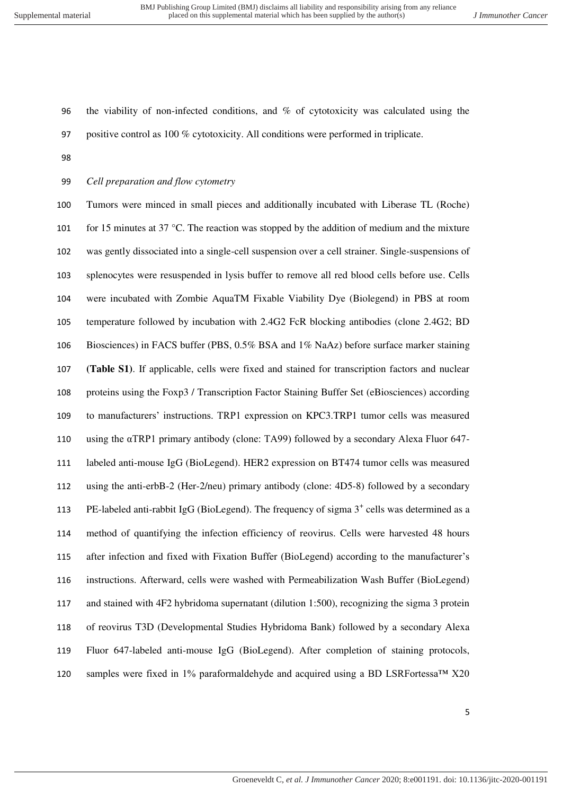the viability of non-infected conditions, and % of cytotoxicity was calculated using the positive control as 100 % cytotoxicity. All conditions were performed in triplicate.

*Cell preparation and flow cytometry* 

 Tumors were minced in small pieces and additionally incubated with Liberase TL (Roche) 101 for 15 minutes at 37 °C. The reaction was stopped by the addition of medium and the mixture was gently dissociated into a single-cell suspension over a cell strainer. Single-suspensions of splenocytes were resuspended in lysis buffer to remove all red blood cells before use. Cells were incubated with Zombie AquaTM Fixable Viability Dye (Biolegend) in PBS at room temperature followed by incubation with 2.4G2 FcR blocking antibodies (clone 2.4G2; BD Biosciences) in FACS buffer (PBS, 0.5% BSA and 1% NaAz) before surface marker staining **(Table S1)**. If applicable, cells were fixed and stained for transcription factors and nuclear proteins using the Foxp3 / Transcription Factor Staining Buffer Set (eBiosciences) according to manufacturers' instructions. TRP1 expression on KPC3.TRP1 tumor cells was measured using the αTRP1 primary antibody (clone: TA99) followed by a secondary Alexa Fluor 647- labeled anti-mouse IgG (BioLegend). HER2 expression on BT474 tumor cells was measured using the anti-erbB-2 (Her-2/neu) primary antibody (clone: 4D5-8) followed by a secondary 113 PE-labeled anti-rabbit IgG (BioLegend). The frequency of sigma  $3^+$  cells was determined as a method of quantifying the infection efficiency of reovirus. Cells were harvested 48 hours after infection and fixed with Fixation Buffer (BioLegend) according to the manufacturer's instructions. Afterward, cells were washed with Permeabilization Wash Buffer (BioLegend) and stained with 4F2 hybridoma supernatant (dilution 1:500), recognizing the sigma 3 protein of reovirus T3D (Developmental Studies Hybridoma Bank) followed by a secondary Alexa Fluor 647-labeled anti-mouse IgG (BioLegend). After completion of staining protocols, 120 samples were fixed in 1% paraformaldehyde and acquired using a BD LSRFortessa<sup>TM</sup> X20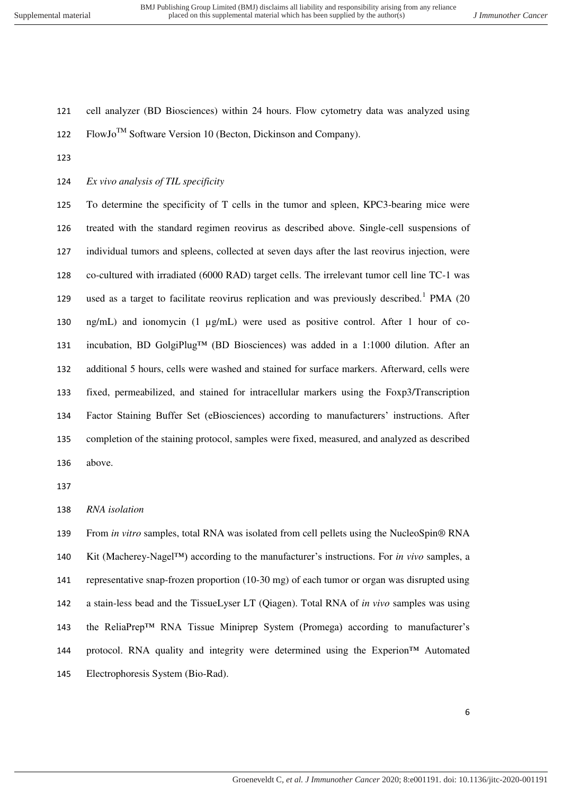$\text{FlowJo}^{\text{TM}}$  Software Version 10 (Becton, Dickinson and Company). *Ex vivo analysis of TIL specificity*  To determine the specificity of T cells in the tumor and spleen, KPC3-bearing mice were treated with the standard regimen reovirus as described above. Single-cell suspensions of individual tumors and spleens, collected at seven days after the last reovirus injection, were co-cultured with irradiated (6000 RAD) target cells. The irrelevant tumor cell line TC-1 was 129 used as a target to facilitate reovirus replication and was previously described.<sup>1</sup> PMA (20) ng/mL) and ionomycin (1 µg/mL) were used as positive control. After 1 hour of co- incubation, BD GolgiPlug™ (BD Biosciences) was added in a 1:1000 dilution. After an additional 5 hours, cells were washed and stained for surface markers. Afterward, cells were fixed, permeabilized, and stained for intracellular markers using the Foxp3/Transcription Factor Staining Buffer Set (eBiosciences) according to manufacturers' instructions. After

cell analyzer (BD Biosciences) within 24 hours. Flow cytometry data was analyzed using

 completion of the staining protocol, samples were fixed, measured, and analyzed as described above.

*RNA isolation* 

 From *in vitro* samples, total RNA was isolated from cell pellets using the NucleoSpin® RNA Kit (Macherey-Nagel™) according to the manufacturer's instructions. For *in vivo* samples, a representative snap-frozen proportion (10-30 mg) of each tumor or organ was disrupted using a stain-less bead and the TissueLyser LT (Qiagen). Total RNA of *in vivo* samples was using the ReliaPrep™ RNA Tissue Miniprep System (Promega) according to manufacturer's protocol. RNA quality and integrity were determined using the Experion™ Automated Electrophoresis System (Bio-Rad).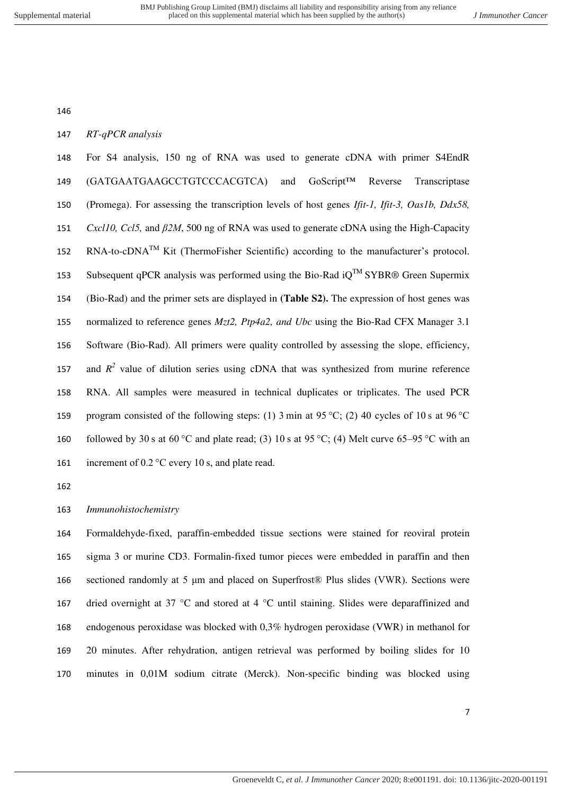*RT-qPCR analysis* 

 For S4 analysis, 150 ng of RNA was used to generate cDNA with primer S4EndR (GATGAATGAAGCCTGTCCCACGTCA) and GoScript™ Reverse Transcriptase (Promega). For assessing the transcription levels of host genes *Ifit-1, Ifit-3, Oas1b, Ddx58, Cxcl10, Ccl5,* and *β2M*, 500 ng of RNA was used to generate cDNA using the High-Capacity 152 RNA-to-cDNA<sup>TM</sup> Kit (ThermoFisher Scientific) according to the manufacturer's protocol. 153 Subsequent qPCR analysis was performed using the Bio-Rad  $iQ^{TM}$  SYBR® Green Supermix (Bio-Rad) and the primer sets are displayed in **(Table S2).** The expression of host genes was normalized to reference genes *Mzt2, Ptp4a2, and Ubc* using the Bio-Rad CFX Manager 3.1 Software (Bio-Rad). All primers were quality controlled by assessing the slope, efficiency, 157 and  $R^2$  value of dilution series using cDNA that was synthesized from murine reference RNA. All samples were measured in technical duplicates or triplicates. The used PCR program consisted of the following steps: (1) 3 min at 95 °C; (2) 40 cycles of 10 s at 96 °C 160 followed by 30 s at 60 °C and plate read; (3) 10 s at 95 °C; (4) Melt curve 65–95 °C with an 161 increment of 0.2 °C every 10 s, and plate read.

*Immunohistochemistry* 

 Formaldehyde-fixed, paraffin-embedded tissue sections were stained for reoviral protein sigma 3 or murine CD3. Formalin-fixed tumor pieces were embedded in paraffin and then sectioned randomly at 5 μm and placed on Superfrost® Plus slides (VWR). Sections were 167 dried overnight at 37 °C and stored at 4 °C until staining. Slides were deparaffinized and endogenous peroxidase was blocked with 0,3% hydrogen peroxidase (VWR) in methanol for 20 minutes. After rehydration, antigen retrieval was performed by boiling slides for 10 minutes in 0,01M sodium citrate (Merck). Non-specific binding was blocked using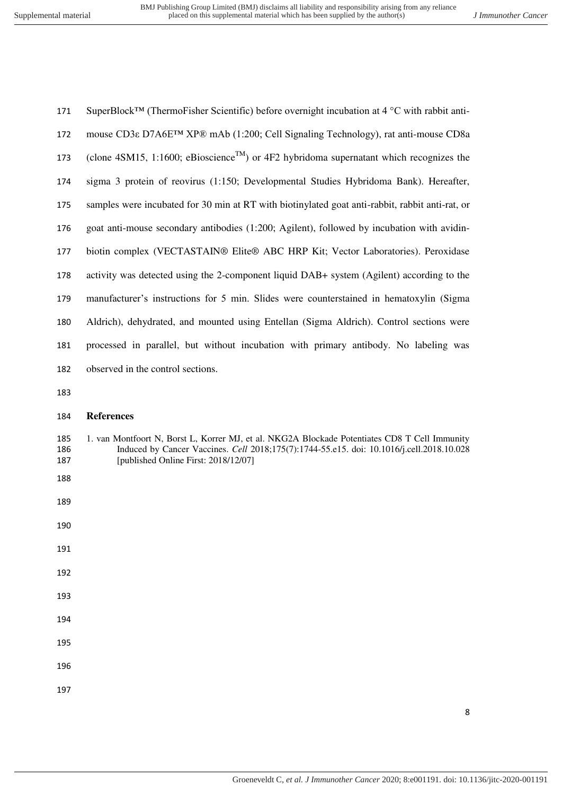| 171 | SuperBlock <sup>TM</sup> (ThermoFisher Scientific) before overnight incubation at 4 $\rm{^{\circ}C}$ with rabbit anti- |
|-----|------------------------------------------------------------------------------------------------------------------------|
| 172 | mouse CD3ε D7A6E <sup>TM</sup> XP® mAb (1:200; Cell Signaling Technology), rat anti-mouse CD8a                         |
| 173 | (clone 4SM15, 1:1600; eBioscience <sup>TM</sup> ) or 4F2 hybridoma supernatant which recognizes the                    |
| 174 | sigma 3 protein of reovirus (1:150; Developmental Studies Hybridoma Bank). Hereafter,                                  |
| 175 | samples were incubated for 30 min at RT with biotinylated goat anti-rabbit, rabbit anti-rat, or                        |
| 176 | goat anti-mouse secondary antibodies (1:200; Agilent), followed by incubation with avidin-                             |
| 177 | biotin complex (VECTASTAIN® Elite® ABC HRP Kit; Vector Laboratories). Peroxidase                                       |
| 178 | activity was detected using the 2-component liquid DAB+ system (Agilent) according to the                              |
| 179 | manufacturer's instructions for 5 min. Slides were counterstained in hematoxylin (Sigma                                |
| 180 | Aldrich), dehydrated, and mounted using Entellan (Sigma Aldrich). Control sections were                                |
| 181 | processed in parallel, but without incubation with primary antibody. No labeling was                                   |
| 182 | observed in the control sections.                                                                                      |

#### **References**

- 185 1. van Montfoort N, Borst L, Korrer MJ, et al. NKG2A Blockade Potentiates CD8 T Cell Immunity<br>186 10028 10028 10028 10028 10028 10028 10028 10028 10028 10028 10028 10028 10028 10028 10028 10028 10028 100 186 Induced by Cancer Vaccines. *Cell* 2018;175(7):1744-55.e15. doi: 10.1016/j.cell.2018.10.028<br>187 [published Online First: 2018/12/07] [published Online First: 2018/12/07]
- 
- 
- 
- 
- 
- 
- 
- 
- 
-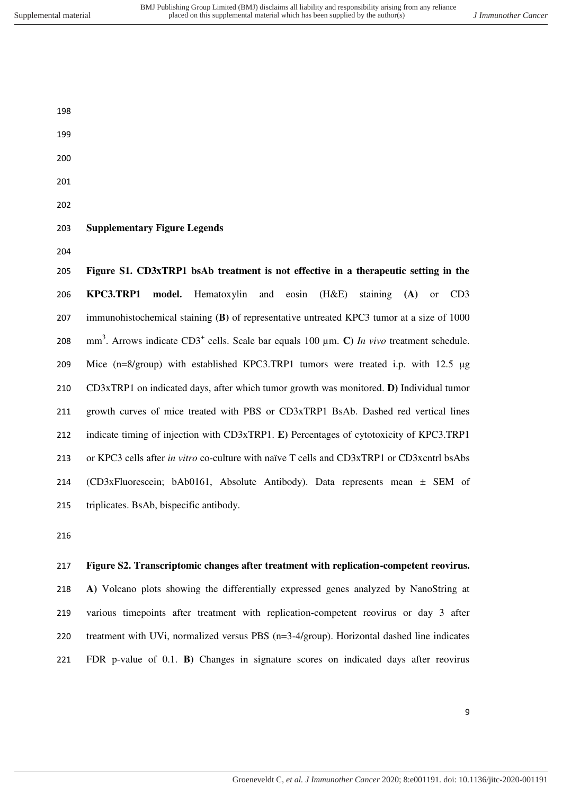- 
- 
- 

## **Supplementary Figure Legends**

 **Figure S1. CD3xTRP1 bsAb treatment is not effective in a therapeutic setting in the KPC3.TRP1 model.** Hematoxylin and eosin (H&E) staining **(A)** or CD3 immunohistochemical staining **(B)** of representative untreated KPC3 tumor at a size of 1000 208 mm<sup>3</sup>. Arrows indicate  $CD3^+$  cells. Scale bar equals 100  $\mu$ m. **C**) *In vivo* treatment schedule. Mice (n=8/group) with established KPC3.TRP1 tumors were treated i.p. with 12.5 μg CD3xTRP1 on indicated days, after which tumor growth was monitored. **D)** Individual tumor growth curves of mice treated with PBS or CD3xTRP1 BsAb. Dashed red vertical lines indicate timing of injection with CD3xTRP1. **E)** Percentages of cytotoxicity of KPC3.TRP1 or KPC3 cells after *in vitro* co-culture with naïve T cells and CD3xTRP1 or CD3xcntrl bsAbs (CD3xFluorescein; bAb0161, Absolute Antibody). Data represents mean ± SEM of triplicates. BsAb, bispecific antibody.

## **Figure S2. Transcriptomic changes after treatment with replication-competent reovirus.**

 **A)** Volcano plots showing the differentially expressed genes analyzed by NanoString at various timepoints after treatment with replication-competent reovirus or day 3 after treatment with UVi, normalized versus PBS (n=3-4/group). Horizontal dashed line indicates FDR p-value of 0.1. **B)** Changes in signature scores on indicated days after reovirus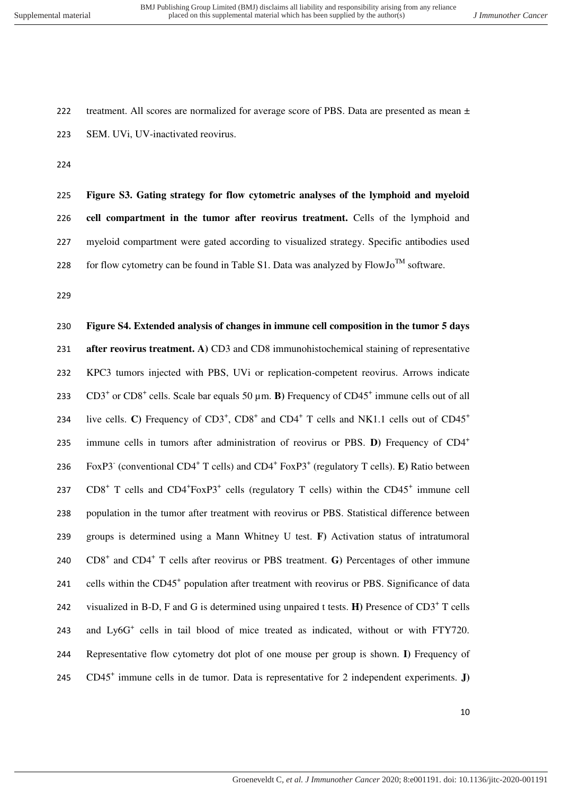222 treatment. All scores are normalized for average score of PBS. Data are presented as mean  $\pm$ 223 SEM. UVi, UV-inactivated reovirus.

224

 **Figure S3. Gating strategy for flow cytometric analyses of the lymphoid and myeloid cell compartment in the tumor after reovirus treatment.** Cells of the lymphoid and myeloid compartment were gated according to visualized strategy. Specific antibodies used 228 for flow cytometry can be found in Table S1. Data was analyzed by  $FlowJo^{TM}$  software.

229

230 **Figure S4. Extended analysis of changes in immune cell composition in the tumor 5 days**  231 **after reovirus treatment. A)** CD3 and CD8 immunohistochemical staining of representative 232 KPC3 tumors injected with PBS, UVi or replication-competent reovirus. Arrows indicate 233  $CD3^+$  or  $CD8^+$  cells. Scale bar equals 50  $\mu$ m. **B**) Frequency of  $CD45^+$  immune cells out of all 234 live cells. C) Frequency of  $CD3^+$ ,  $CD8^+$  and  $CD4^+$  T cells and NK1.1 cells out of  $CD45^+$ immune cells in tumors after administration of reovirus or PBS.  $\bf{D}$ ) Frequency of  $CD4^+$ 235 236 FoxP3<sup>-</sup> (conventional CD4<sup>+</sup> T cells) and CD4<sup>+</sup> FoxP3<sup>+</sup> (regulatory T cells). **E**) Ratio between 237  $CDS^+$  T cells and  $CD4^+$ FoxP3<sup>+</sup> cells (regulatory T cells) within the  $CD45^+$  immune cell 238 population in the tumor after treatment with reovirus or PBS. Statistical difference between 239 groups is determined using a Mann Whitney U test. **F)** Activation status of intratumoral 240 CD8<sup>+</sup> and CD4<sup>+</sup> T cells after reovirus or PBS treatment. **G**) Percentages of other immune 241 cells within the CD45<sup>+</sup> population after treatment with reovirus or PBS. Significance of data 242 visualized in B-D, F and G is determined using unpaired t tests.  $\mathbf{H}$ ) Presence of CD3<sup>+</sup> T cells 243 and Ly6G<sup>+</sup> cells in tail blood of mice treated as indicated, without or with FTY720. 244 Representative flow cytometry dot plot of one mouse per group is shown. **I)** Frequency of 245 CD45<sup>+</sup> immune cells in de tumor. Data is representative for 2 independent experiments. **J**)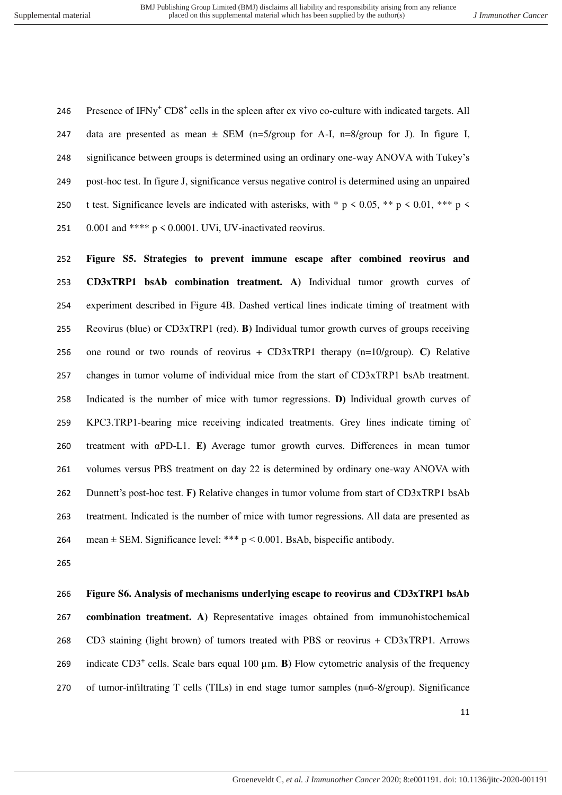246 Presence of IFNy<sup>+</sup> CD8<sup>+</sup> cells in the spleen after ex vivo co-culture with indicated targets. All 247 data are presented as mean  $\pm$  SEM (n=5/group for A-I, n=8/group for J). In figure I, significance between groups is determined using an ordinary one-way ANOVA with Tukey's post-hoc test. In figure J, significance versus negative control is determined using an unpaired 250 t test. Significance levels are indicated with asterisks, with  $* p \lt 0.05$ ,  $** p \lt 0.01$ ,  $*** p \lt 0.01$ 251  $0.001$  and \*\*\*\* p < 0.0001. UVi, UV-inactivated reovirus.

 **Figure S5. Strategies to prevent immune escape after combined reovirus and CD3xTRP1 bsAb combination treatment. A)** Individual tumor growth curves of experiment described in Figure 4B. Dashed vertical lines indicate timing of treatment with Reovirus (blue) or CD3xTRP1 (red). **B)** Individual tumor growth curves of groups receiving one round or two rounds of reovirus + CD3xTRP1 therapy (n=10/group). **C)** Relative changes in tumor volume of individual mice from the start of CD3xTRP1 bsAb treatment. Indicated is the number of mice with tumor regressions. **D)** Individual growth curves of KPC3.TRP1-bearing mice receiving indicated treatments. Grey lines indicate timing of treatment with αPD-L1. **E)** Average tumor growth curves. Differences in mean tumor volumes versus PBS treatment on day 22 is determined by ordinary one-way ANOVA with Dunnett's post-hoc test. **F)** Relative changes in tumor volume from start of CD3xTRP1 bsAb treatment. Indicated is the number of mice with tumor regressions. All data are presented as 264 mean  $\pm$  SEM. Significance level: \*\*\*  $p < 0.001$ . BsAb, bispecific antibody.

## **Figure S6. Analysis of mechanisms underlying escape to reovirus and CD3xTRP1 bsAb**

 **combination treatment. A)** Representative images obtained from immunohistochemical CD3 staining (light brown) of tumors treated with PBS or reovirus + CD3xTRP1. Arrows 269 indicate  $CD3^+$  cells. Scale bars equal 100  $\mu$ m. **B**) Flow cytometric analysis of the frequency of tumor-infiltrating T cells (TILs) in end stage tumor samples (n=6-8/group). Significance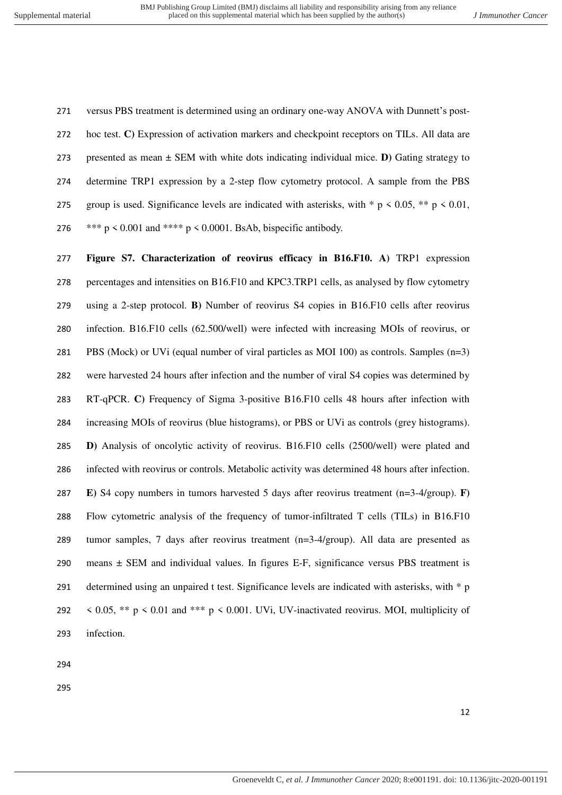versus PBS treatment is determined using an ordinary one-way ANOVA with Dunnett's post- hoc test. **C)** Expression of activation markers and checkpoint receptors on TILs. All data are presented as mean ± SEM with white dots indicating individual mice. **D)** Gating strategy to determine TRP1 expression by a 2-step flow cytometry protocol. A sample from the PBS 275 group is used. Significance levels are indicated with asterisks, with  $* p \lt 0.05$ ,  $** p \lt 0.01$ ,  $*** p < 0.001$  and  $*** p < 0.0001$ . BsAb, bispecific antibody.

 **Figure S7. Characterization of reovirus efficacy in B16.F10. A)** TRP1 expression percentages and intensities on B16.F10 and KPC3.TRP1 cells, as analysed by flow cytometry using a 2-step protocol. **B)** Number of reovirus S4 copies in B16.F10 cells after reovirus infection. B16.F10 cells (62.500/well) were infected with increasing MOIs of reovirus, or PBS (Mock) or UVi (equal number of viral particles as MOI 100) as controls. Samples (n=3) were harvested 24 hours after infection and the number of viral S4 copies was determined by RT-qPCR. **C)** Frequency of Sigma 3-positive B16.F10 cells 48 hours after infection with increasing MOIs of reovirus (blue histograms), or PBS or UVi as controls (grey histograms). **D)** Analysis of oncolytic activity of reovirus. B16.F10 cells (2500/well) were plated and infected with reovirus or controls. Metabolic activity was determined 48 hours after infection. **E)** S4 copy numbers in tumors harvested 5 days after reovirus treatment (n=3-4/group). **F)**  Flow cytometric analysis of the frequency of tumor-infiltrated T cells (TILs) in B16.F10 tumor samples, 7 days after reovirus treatment (n=3-4/group). All data are presented as means ± SEM and individual values. In figures E-F, significance versus PBS treatment is 291 determined using an unpaired t test. Significance levels are indicated with asterisks, with \* p  $\leq$  0.05, \*\* p  $\leq$  0.01 and \*\*\* p  $\leq$  0.001. UVi, UV-inactivated reovirus. MOI, multiplicity of infection.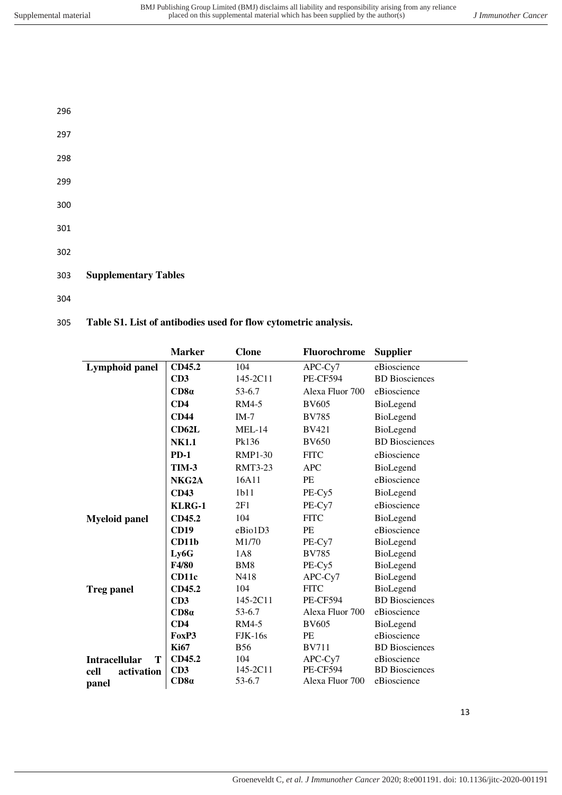| ۳<br>٠<br>v<br>۰.<br>۰.<br>۰.<br>۰.<br>×<br>v |  |
|-----------------------------------------------|--|
|                                               |  |

- 297
- 298
- 299
- 300
- 301
- 302
- 303 **Supplementary Tables**
- 304

# 305 **Table S1. List of antibodies used for flow cytometric analysis.**

|                           | <b>Marker</b> | <b>Clone</b>    | Fluorochrome    | <b>Supplier</b>       |
|---------------------------|---------------|-----------------|-----------------|-----------------------|
| Lymphoid panel            | CD45.2        | 104             | APC-Cy7         | eBioscience           |
|                           | CD3           | 145-2C11        | <b>PE-CF594</b> | <b>BD</b> Biosciences |
|                           | CD8a          | 53-6.7          | Alexa Fluor 700 | eBioscience           |
|                           | CD4           | RM4-5           | <b>BV605</b>    | BioLegend             |
|                           | <b>CD44</b>   | $IM-7$          | <b>BV785</b>    | BioLegend             |
|                           | <b>CD62L</b>  | $MEL-14$        | <b>BV421</b>    | BioLegend             |
|                           | <b>NK1.1</b>  | Pk136           | <b>BV650</b>    | <b>BD</b> Biosciences |
|                           | $PD-1$        | <b>RMP1-30</b>  | <b>FITC</b>     | eBioscience           |
|                           | <b>TIM-3</b>  | <b>RMT3-23</b>  | <b>APC</b>      | BioLegend             |
|                           | NKG2A         | 16A11           | PE              | eBioscience           |
|                           | <b>CD43</b>   | 1b11            | PE-Cy5          | BioLegend             |
|                           | KLRG-1        | 2F1             | PE-Cy7          | eBioscience           |
| <b>Myeloid panel</b>      | CD45.2        | 104             | <b>FITC</b>     | BioLegend             |
|                           | <b>CD19</b>   | eBio1D3         | PE              | eBioscience           |
|                           | CD11b         | M1/70           | PE-Cy7          | BioLegend             |
|                           | Ly6G          | 1A8             | <b>BV785</b>    | BioLegend             |
|                           | F4/80         | BM <sub>8</sub> | PE-Cy5          | BioLegend             |
|                           | CD11c         | N418            | APC-Cy7         | BioLegend             |
| <b>Treg panel</b>         | CD45.2        | 104             | <b>FITC</b>     | BioLegend             |
|                           | CD3           | 145-2C11        | <b>PE-CF594</b> | <b>BD</b> Biosciences |
|                           | CD8a          | 53-6.7          | Alexa Fluor 700 | eBioscience           |
|                           | CD4           | RM4-5           | <b>BV605</b>    | BioLegend             |
|                           | FoxP3         | $FJK-16s$       | PE              | eBioscience           |
|                           | <b>Ki67</b>   | <b>B56</b>      | <b>BV711</b>    | <b>BD</b> Biosciences |
| <b>Intracellular</b><br>Т | CD45.2        | 104             | $APC-Cy7$       | eBioscience           |
| activation<br>cell        | CD3           | 145-2C11        | <b>PE-CF594</b> | <b>BD</b> Biosciences |
| panel                     | CD8a          | 53-6.7          | Alexa Fluor 700 | eBioscience           |